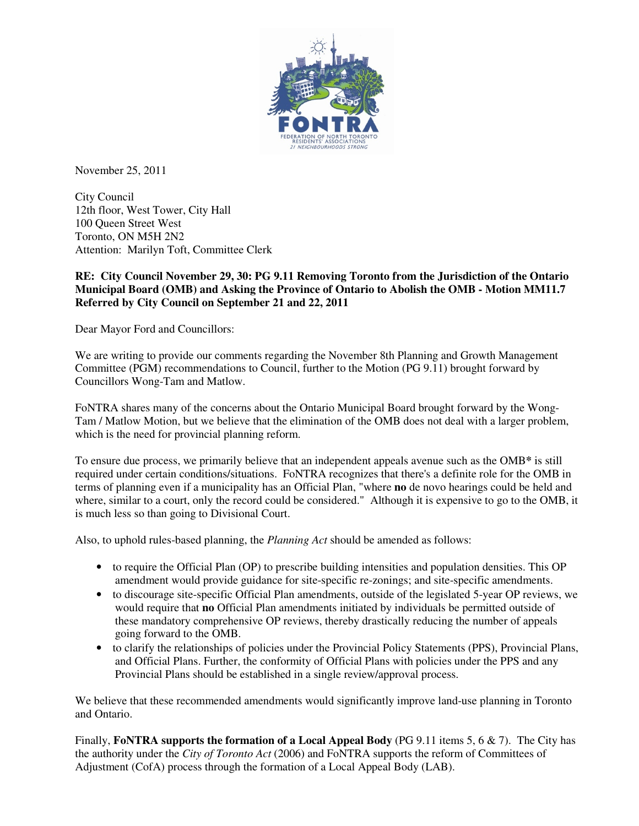

November 25, 2011

City Council 12th floor, West Tower, City Hall 100 Queen Street West Toronto, ON M5H 2N2 Attention: Marilyn Toft, Committee Clerk

## **RE: City Council November 29, 30: PG 9.11 Removing Toronto from the Jurisdiction of the Ontario Municipal Board (OMB) and Asking the Province of Ontario to Abolish the OMB - Motion MM11.7 Referred by City Council on September 21 and 22, 2011**

Dear Mayor Ford and Councillors:

We are writing to provide our comments regarding the November 8th Planning and Growth Management Committee (PGM) recommendations to Council, further to the Motion (PG 9.11) brought forward by Councillors Wong-Tam and Matlow.

FoNTRA shares many of the concerns about the Ontario Municipal Board brought forward by the Wong-Tam / Matlow Motion, but we believe that the elimination of the OMB does not deal with a larger problem, which is the need for provincial planning reform.

To ensure due process, we primarily believe that an independent appeals avenue such as the OMB**\*** is still required under certain conditions/situations. FoNTRA recognizes that there's a definite role for the OMB in terms of planning even if a municipality has an Official Plan, "where **no** de novo hearings could be held and where, similar to a court, only the record could be considered." Although it is expensive to go to the OMB, it is much less so than going to Divisional Court.

Also, to uphold rules-based planning, the *Planning Act* should be amended as follows:

- to require the Official Plan (OP) to prescribe building intensities and population densities. This OP amendment would provide guidance for site-specific re-zonings; and site-specific amendments.
- to discourage site-specific Official Plan amendments, outside of the legislated 5-year OP reviews, we would require that **no** Official Plan amendments initiated by individuals be permitted outside of these mandatory comprehensive OP reviews, thereby drastically reducing the number of appeals going forward to the OMB.
- to clarify the relationships of policies under the Provincial Policy Statements (PPS), Provincial Plans, and Official Plans. Further, the conformity of Official Plans with policies under the PPS and any Provincial Plans should be established in a single review/approval process.

We believe that these recommended amendments would significantly improve land-use planning in Toronto and Ontario.

Finally, **FoNTRA supports the formation of a Local Appeal Body** (PG 9.11 items 5, 6 & 7). The City has the authority under the *City of Toronto Act* (2006) and FoNTRA supports the reform of Committees of Adjustment (CofA) process through the formation of a Local Appeal Body (LAB).